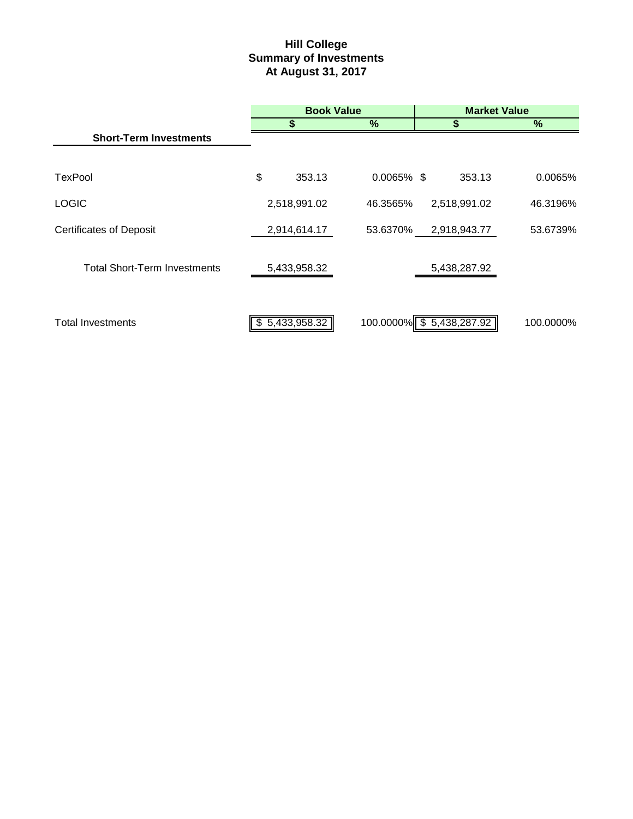# **Hill College Summary of Investments At August 31, 2017**

|                                     | <b>Book Value</b> |               |  | <b>Market Value</b>      |  |           |  |
|-------------------------------------|-------------------|---------------|--|--------------------------|--|-----------|--|
|                                     | S                 | %             |  |                          |  | %         |  |
| <b>Short-Term Investments</b>       |                   |               |  |                          |  |           |  |
|                                     |                   |               |  |                          |  |           |  |
| TexPool                             | \$<br>353.13      | $0.0065\%$ \$ |  | 353.13                   |  | 0.0065%   |  |
| <b>LOGIC</b>                        | 2,518,991.02      | 46.3565%      |  | 2,518,991.02             |  | 46.3196%  |  |
| <b>Certificates of Deposit</b>      | 2,914,614.17      | 53.6370%      |  | 2,918,943.77             |  | 53.6739%  |  |
|                                     |                   |               |  |                          |  |           |  |
| <b>Total Short-Term Investments</b> | 5,433,958.32      |               |  | 5,438,287.92             |  |           |  |
|                                     |                   |               |  |                          |  |           |  |
| <b>Total Investments</b>            | \$5,433,958.32    |               |  | 100.0000% \$5,438,287.92 |  | 100.0000% |  |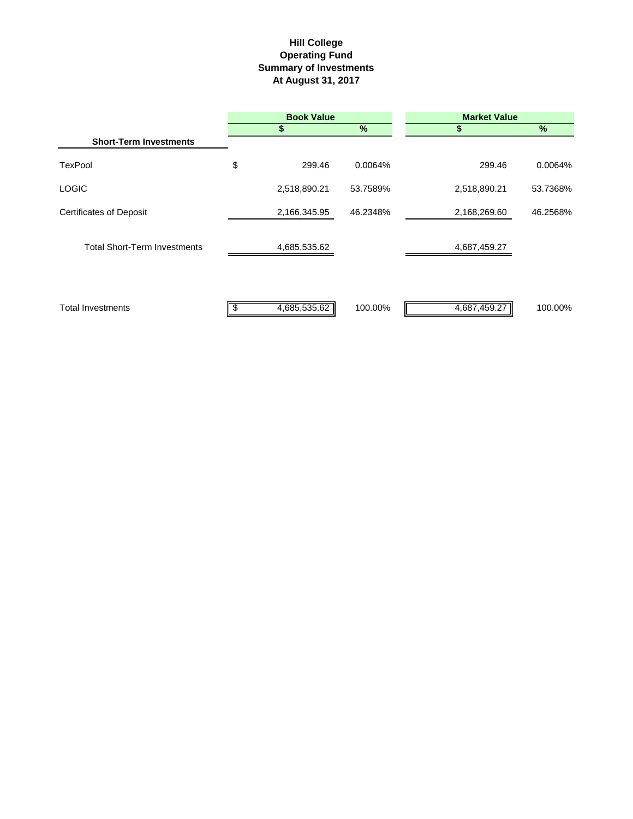# **Hill College Operating Fund Summary of Investments At August 31, 2017**

|                                     |    | <b>Book Value</b> |               | <b>Market Value</b> |          |  |  |
|-------------------------------------|----|-------------------|---------------|---------------------|----------|--|--|
|                                     |    | S                 | $\frac{9}{6}$ | S                   | %        |  |  |
| <b>Short-Term Investments</b>       |    |                   |               |                     |          |  |  |
| <b>TexPool</b>                      | \$ | 299.46            | 0.0064%       | 299.46              | 0.0064%  |  |  |
| <b>LOGIC</b>                        |    | 2,518,890.21      | 53.7589%      | 2,518,890.21        | 53.7368% |  |  |
| <b>Certificates of Deposit</b>      |    | 2,166,345.95      | 46.2348%      | 2,168,269.60        | 46.2568% |  |  |
| <b>Total Short-Term Investments</b> |    | 4,685,535.62      |               | 4,687,459.27        |          |  |  |
| <b>Total Investments</b>            | S  | 4,685,535.62      | 100.00%       | 4,687,459.27        | 100.00%  |  |  |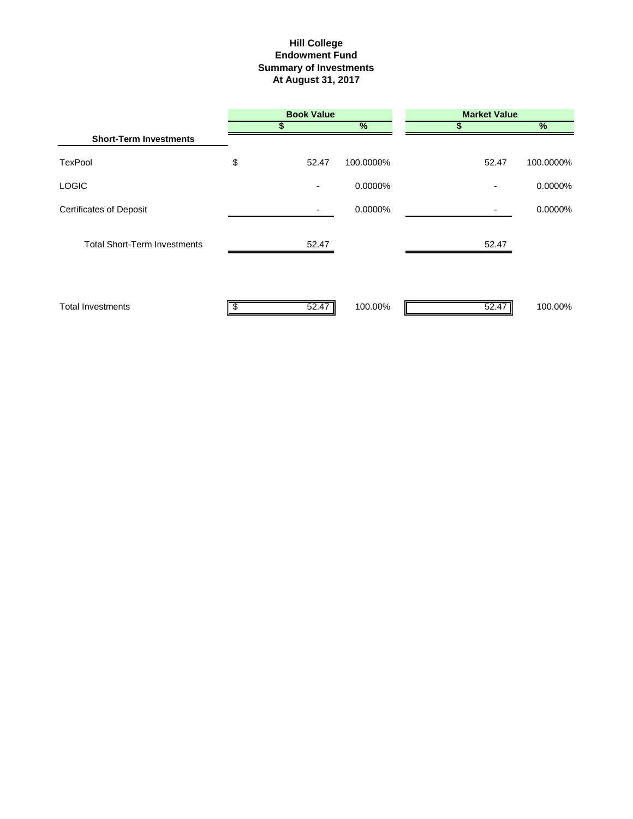# **Hill College Endowment Fund Summary of Investments At August 31, 2017**

|                                     | <b>Book Value</b> |           | <b>Market Value</b> |           |  |
|-------------------------------------|-------------------|-----------|---------------------|-----------|--|
|                                     | S                 | %         | 5                   | $\%$      |  |
| <b>Short-Term Investments</b>       |                   |           |                     |           |  |
| <b>TexPool</b>                      | \$<br>52.47       | 100.0000% | 52.47               | 100.0000% |  |
| <b>LOGIC</b>                        |                   | 0.0000%   |                     | 0.0000%   |  |
| <b>Certificates of Deposit</b>      |                   | 0.0000%   |                     | 0.0000%   |  |
| <b>Total Short-Term Investments</b> | 52.47             |           | 52.47               |           |  |
| <b>Total Investments</b>            | 52.47             | 100.00%   | 52.47               | 100.00%   |  |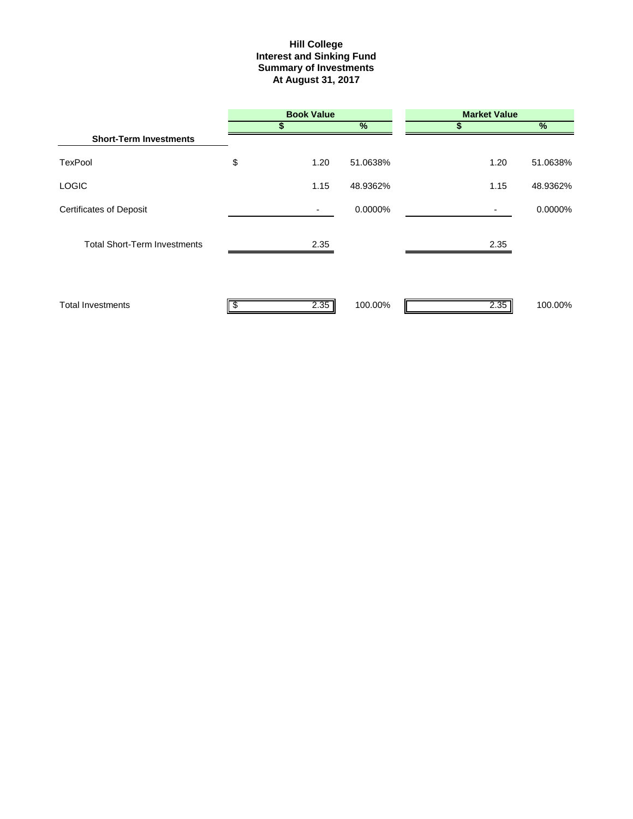#### **Interest and Sinking Fund Summary of Investments At August 31, 2017 Hill College**

|                                     |     | <b>Book Value</b> |               | <b>Market Value</b> |          |  |  |  |
|-------------------------------------|-----|-------------------|---------------|---------------------|----------|--|--|--|
|                                     | S   |                   | $\frac{9}{6}$ | S                   | $\%$     |  |  |  |
| <b>Short-Term Investments</b>       |     |                   |               |                     |          |  |  |  |
| <b>TexPool</b>                      | \$  | 1.20              | 51.0638%      | 1.20                | 51.0638% |  |  |  |
| <b>LOGIC</b>                        |     | 1.15              | 48.9362%      | 1.15                | 48.9362% |  |  |  |
| <b>Certificates of Deposit</b>      |     | ٠                 | 0.0000%       |                     | 0.0000%  |  |  |  |
| <b>Total Short-Term Investments</b> |     | 2.35              |               | 2.35                |          |  |  |  |
| <b>Total Investments</b>            | \$. | 2.35              | 100.00%       | 2.35                | 100.00%  |  |  |  |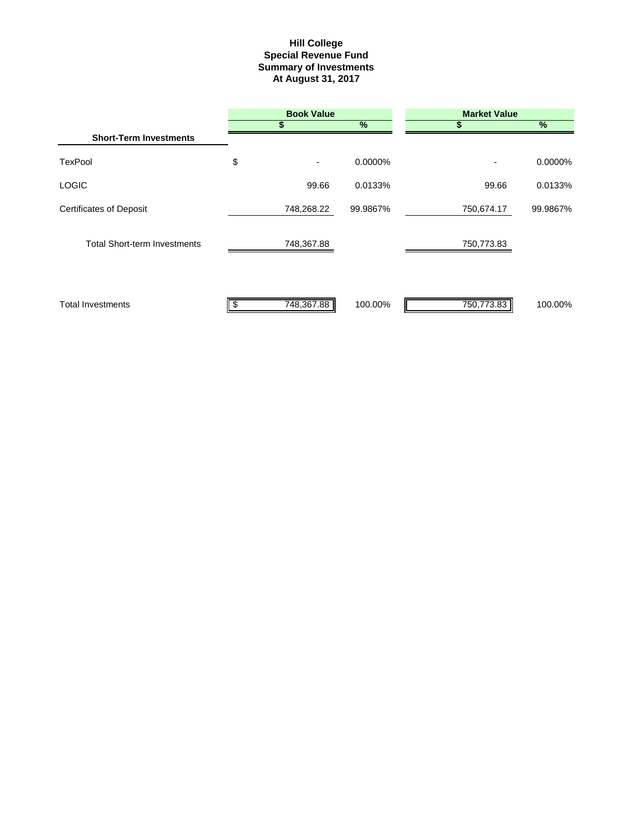#### **Summary of Investments At August 31, 2017 Special Revenue Fund Hill College**

|                                     | <b>Book Value</b> |               | <b>Market Value</b> |          |  |  |
|-------------------------------------|-------------------|---------------|---------------------|----------|--|--|
|                                     | \$                | $\frac{9}{6}$ |                     | %        |  |  |
| <b>Short-Term Investments</b>       |                   |               |                     |          |  |  |
| <b>TexPool</b>                      | \$<br>۰.          | 0.0000%       | ٠                   | 0.0000%  |  |  |
| <b>LOGIC</b>                        | 99.66             | 0.0133%       | 99.66               | 0.0133%  |  |  |
| <b>Certificates of Deposit</b>      | 748,268.22        | 99.9867%      | 750,674.17          | 99.9867% |  |  |
| <b>Total Short-term Investments</b> | 748,367.88        |               | 750,773.83          |          |  |  |
| <b>Total Investments</b>            | 748,367.88        | 100.00%       | 750.773.83          | 100.00%  |  |  |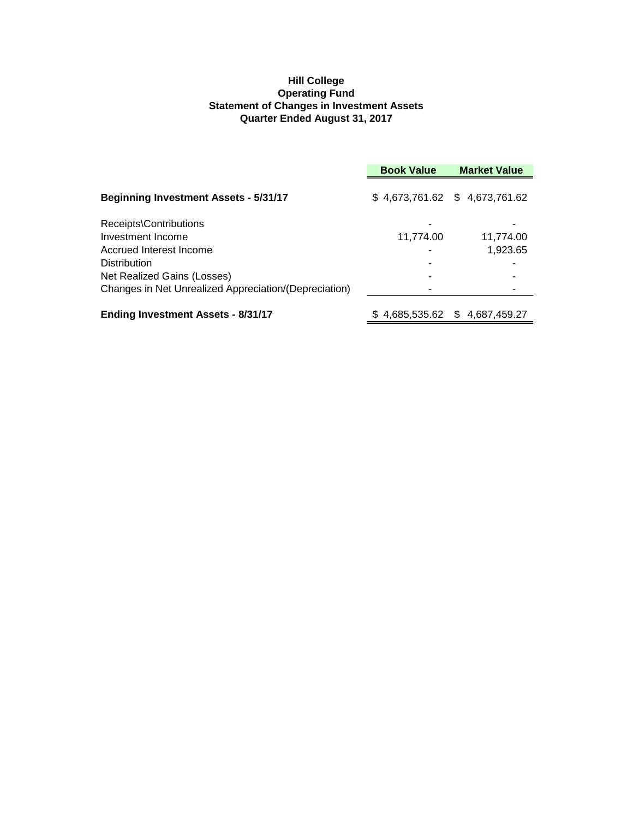# **Hill College Operating Fund Statement of Changes in Investment Assets Quarter Ended August 31, 2017**

|                                                       | <b>Book Value</b> | <b>Market Value</b>           |
|-------------------------------------------------------|-------------------|-------------------------------|
| <b>Beginning Investment Assets - 5/31/17</b>          |                   | \$4,673,761.62 \$4,673,761.62 |
| Receipts\Contributions<br>Investment Income           | 11,774.00         | 11,774.00                     |
| Accrued Interest Income                               |                   | 1,923.65                      |
| <b>Distribution</b><br>Net Realized Gains (Losses)    |                   |                               |
| Changes in Net Unrealized Appreciation/(Depreciation) |                   |                               |
| <b>Ending Investment Assets - 8/31/17</b>             |                   | \$4,685,535.62 \$4,687,459.27 |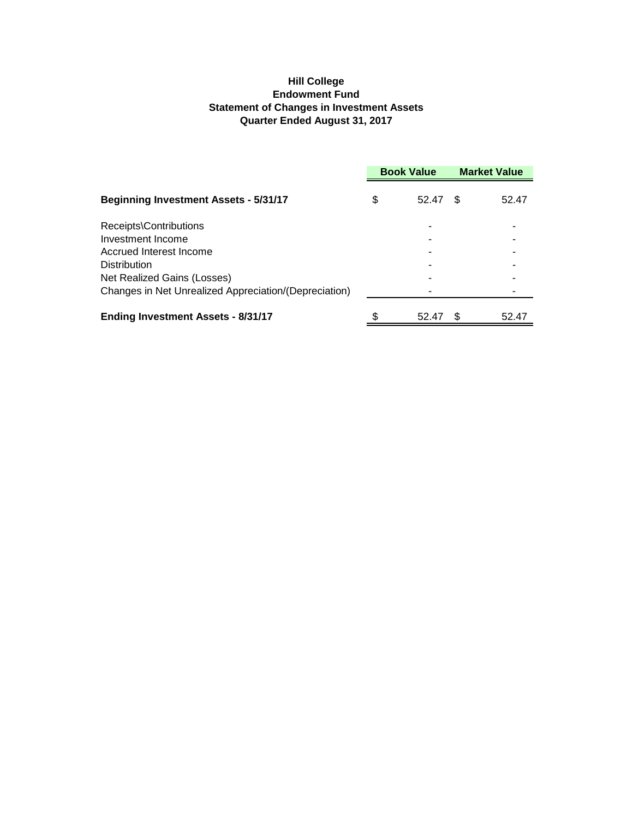# **Hill College Endowment Fund Statement of Changes in Investment Assets Quarter Ended August 31, 2017**

|                                                       | <b>Book Value</b> |       | <b>Market Value</b> |       |
|-------------------------------------------------------|-------------------|-------|---------------------|-------|
| <b>Beginning Investment Assets - 5/31/17</b>          | \$                | 52.47 | \$.                 | 52.47 |
| Receipts\Contributions                                |                   |       |                     |       |
| Investment Income                                     |                   |       |                     |       |
| Accrued Interest Income                               |                   |       |                     |       |
| <b>Distribution</b>                                   |                   |       |                     |       |
| Net Realized Gains (Losses)                           |                   |       |                     |       |
| Changes in Net Unrealized Appreciation/(Depreciation) |                   |       |                     |       |
| <b>Ending Investment Assets - 8/31/17</b>             |                   | 52.47 |                     | 52.47 |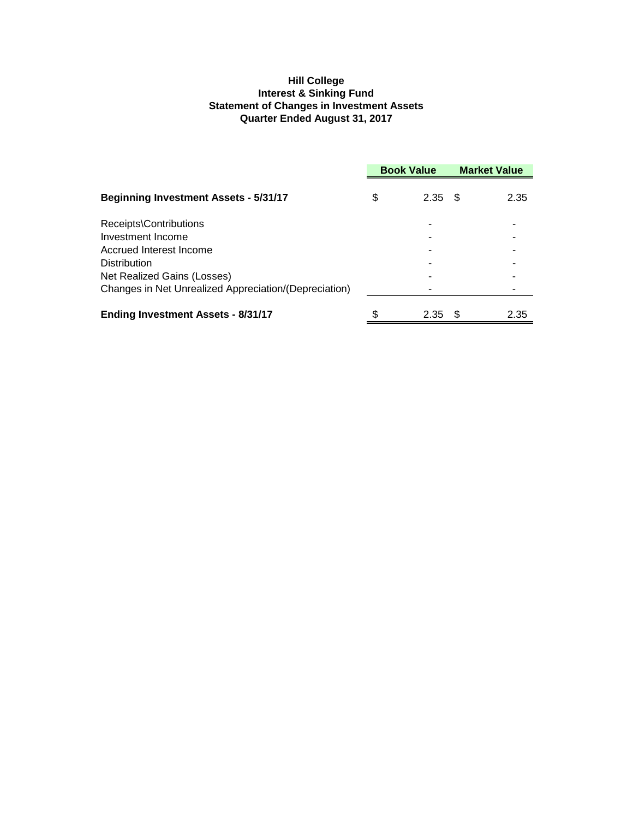# **Hill College Interest & Sinking Fund Statement of Changes in Investment Assets Quarter Ended August 31, 2017**

|                                                       | <b>Book Value</b> |      | <b>Market Value</b> |      |
|-------------------------------------------------------|-------------------|------|---------------------|------|
| <b>Beginning Investment Assets - 5/31/17</b>          | \$                | 2.35 | - \$                | 2.35 |
| Receipts\Contributions                                |                   |      |                     |      |
| Investment Income                                     |                   |      |                     |      |
| Accrued Interest Income                               |                   |      |                     |      |
| <b>Distribution</b>                                   |                   |      |                     |      |
| Net Realized Gains (Losses)                           |                   |      |                     |      |
| Changes in Net Unrealized Appreciation/(Depreciation) |                   |      |                     |      |
| <b>Ending Investment Assets - 8/31/17</b>             |                   | 2.35 | -SS                 | 2.35 |